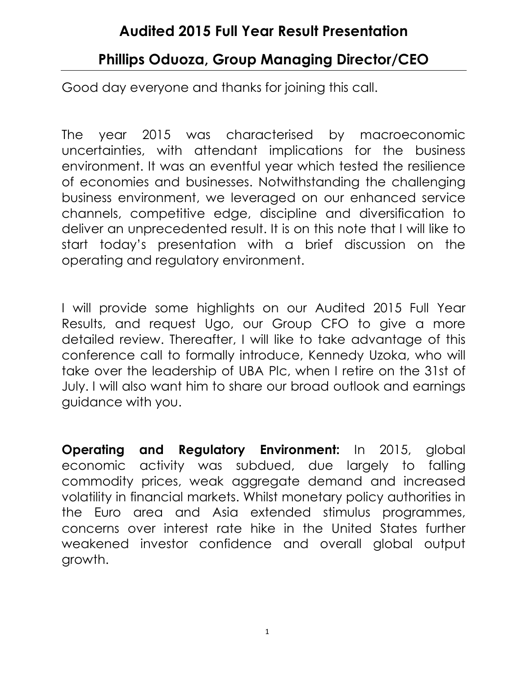# Audited 2015 Full Year Result Presentation

# Phillips Oduoza, Group Managing Director/CEO

Good day everyone and thanks for joining this call.

The year 2015 was characterised by macroeconomic uncertainties, with attendant implications for the business environment. It was an eventful year which tested the resilience of economies and businesses. Notwithstanding the challenging business environment, we leveraged on our enhanced service channels, competitive edge, discipline and diversification to deliver an unprecedented result. It is on this note that I will like to start today's presentation with a brief discussion on the operating and regulatory environment.

I will provide some highlights on our Audited 2015 Full Year Results, and request Ugo, our Group CFO to give a more detailed review. Thereafter, I will like to take advantage of this conference call to formally introduce, Kennedy Uzoka, who will take over the leadership of UBA Plc, when I retire on the 31st of July. I will also want him to share our broad outlook and earnings guidance with you.

Operating and Regulatory Environment: In 2015, global economic activity was subdued, due largely to falling commodity prices, weak aggregate demand and increased volatility in financial markets. Whilst monetary policy authorities in the Euro area and Asia extended stimulus programmes, concerns over interest rate hike in the United States further weakened investor confidence and overall global output growth.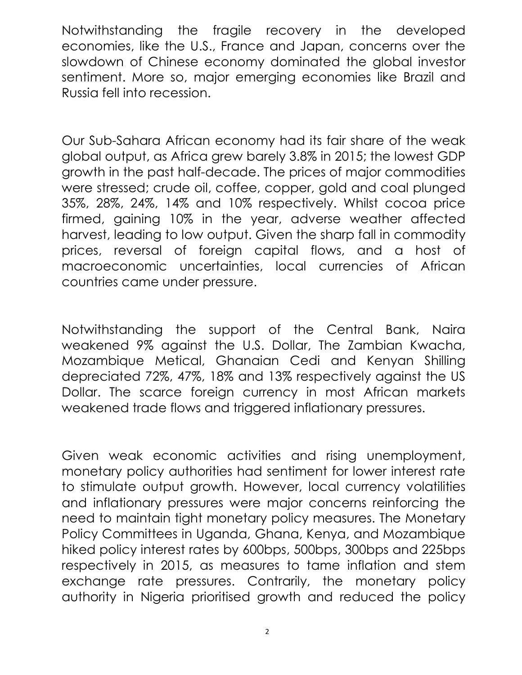Notwithstanding the fragile recovery in the developed economies, like the U.S., France and Japan, concerns over the slowdown of Chinese economy dominated the global investor sentiment. More so, major emerging economies like Brazil and Russia fell into recession.

Our Sub-Sahara African economy had its fair share of the weak global output, as Africa grew barely 3.8% in 2015; the lowest GDP growth in the past half-decade. The prices of major commodities were stressed; crude oil, coffee, copper, gold and coal plunged 35%, 28%, 24%, 14% and 10% respectively. Whilst cocoa price firmed, gaining 10% in the year, adverse weather affected harvest, leading to low output. Given the sharp fall in commodity prices, reversal of foreign capital flows, and a host of macroeconomic uncertainties, local currencies of African countries came under pressure.

Notwithstanding the support of the Central Bank, Naira weakened 9% against the U.S. Dollar, The Zambian Kwacha, Mozambique Metical, Ghanaian Cedi and Kenyan Shilling depreciated 72%, 47%, 18% and 13% respectively against the US Dollar. The scarce foreign currency in most African markets weakened trade flows and triggered inflationary pressures.

Given weak economic activities and rising unemployment, monetary policy authorities had sentiment for lower interest rate to stimulate output growth. However, local currency volatilities and inflationary pressures were major concerns reinforcing the need to maintain tight monetary policy measures. The Monetary Policy Committees in Uganda, Ghana, Kenya, and Mozambique hiked policy interest rates by 600bps, 500bps, 300bps and 225bps respectively in 2015, as measures to tame inflation and stem exchange rate pressures. Contrarily, the monetary policy authority in Nigeria prioritised growth and reduced the policy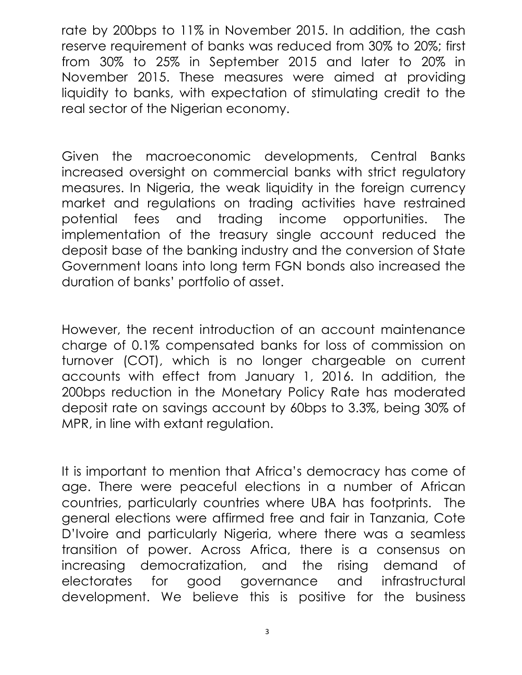rate by 200bps to 11% in November 2015. In addition, the cash reserve requirement of banks was reduced from 30% to 20%; first from 30% to 25% in September 2015 and later to 20% in November 2015. These measures were aimed at providing liquidity to banks, with expectation of stimulating credit to the real sector of the Nigerian economy.

Given the macroeconomic developments, Central Banks increased oversight on commercial banks with strict regulatory measures. In Nigeria, the weak liquidity in the foreign currency market and regulations on trading activities have restrained potential fees and trading income opportunities. The implementation of the treasury single account reduced the deposit base of the banking industry and the conversion of State Government loans into long term FGN bonds also increased the duration of banks' portfolio of asset.

However, the recent introduction of an account maintenance charge of 0.1% compensated banks for loss of commission on turnover (COT), which is no longer chargeable on current accounts with effect from January 1, 2016. In addition, the 200bps reduction in the Monetary Policy Rate has moderated deposit rate on savings account by 60bps to 3.3%, being 30% of MPR, in line with extant regulation.

It is important to mention that Africa's democracy has come of age. There were peaceful elections in a number of African countries, particularly countries where UBA has footprints. The general elections were affirmed free and fair in Tanzania, Cote D'Ivoire and particularly Nigeria, where there was a seamless transition of power. Across Africa, there is a consensus on increasing democratization, and the rising demand of electorates for good governance and infrastructural development. We believe this is positive for the business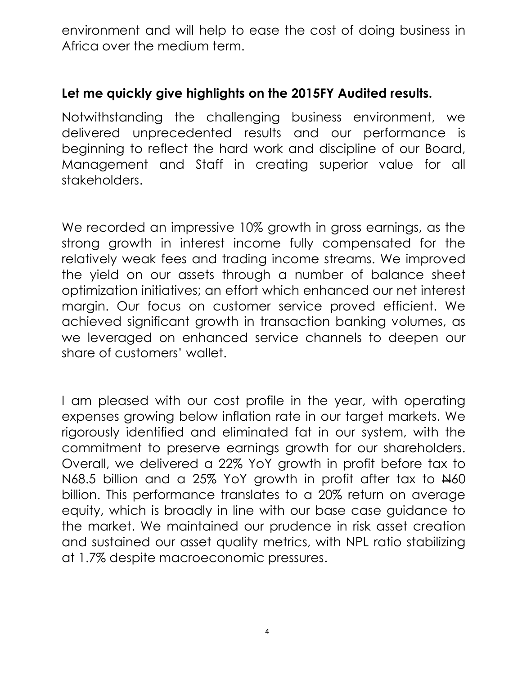environment and will help to ease the cost of doing business in Africa over the medium term.

#### Let me quickly give highlights on the 2015FY Audited results.

Notwithstanding the challenging business environment, we delivered unprecedented results and our performance is beginning to reflect the hard work and discipline of our Board, Management and Staff in creating superior value for all stakeholders.

We recorded an impressive 10% growth in gross earnings, as the strong growth in interest income fully compensated for the relatively weak fees and trading income streams. We improved the yield on our assets through a number of balance sheet optimization initiatives; an effort which enhanced our net interest margin. Our focus on customer service proved efficient. We achieved significant growth in transaction banking volumes, as we leveraged on enhanced service channels to deepen our share of customers' wallet.

I am pleased with our cost profile in the year, with operating expenses growing below inflation rate in our target markets. We rigorously identified and eliminated fat in our system, with the commitment to preserve earnings growth for our shareholders. Overall, we delivered a 22% YoY growth in profit before tax to N68.5 billion and a 25% YoY growth in profit after tax to <del>N</del>60 billion. This performance translates to a 20% return on average equity, which is broadly in line with our base case guidance to the market. We maintained our prudence in risk asset creation and sustained our asset quality metrics, with NPL ratio stabilizing at 1.7% despite macroeconomic pressures.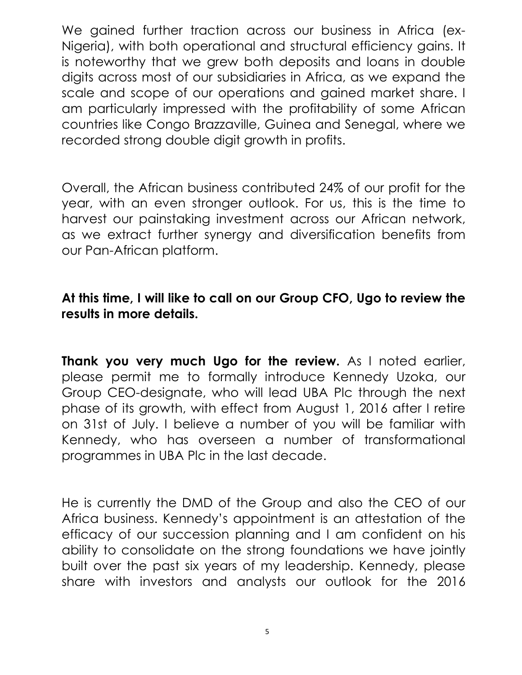We gained further traction across our business in Africa (ex-Nigeria), with both operational and structural efficiency gains. It is noteworthy that we grew both deposits and loans in double digits across most of our subsidiaries in Africa, as we expand the scale and scope of our operations and gained market share. I am particularly impressed with the profitability of some African countries like Congo Brazzaville, Guinea and Senegal, where we recorded strong double digit growth in profits.

Overall, the African business contributed 24% of our profit for the year, with an even stronger outlook. For us, this is the time to harvest our painstaking investment across our African network, as we extract further synergy and diversification benefits from our Pan-African platform.

### At this time, I will like to call on our Group CFO, Ugo to review the results in more details.

Thank you very much Ugo for the review. As I noted earlier, please permit me to formally introduce Kennedy Uzoka, our Group CEO-designate, who will lead UBA Plc through the next phase of its growth, with effect from August 1, 2016 after I retire on 31st of July. I believe a number of you will be familiar with Kennedy, who has overseen a number of transformational programmes in UBA Plc in the last decade.

He is currently the DMD of the Group and also the CEO of our Africa business. Kennedy's appointment is an attestation of the efficacy of our succession planning and I am confident on his ability to consolidate on the strong foundations we have jointly built over the past six years of my leadership. Kennedy, please share with investors and analysts our outlook for the 2016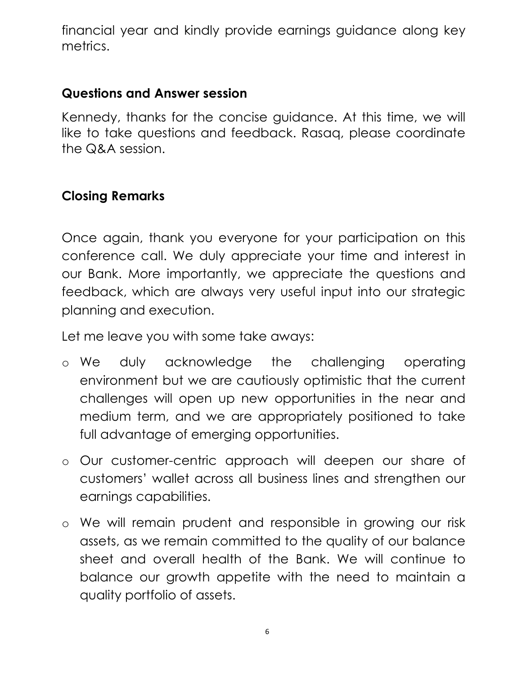financial year and kindly provide earnings guidance along key metrics.

#### Questions and Answer session

Kennedy, thanks for the concise guidance. At this time, we will like to take questions and feedback. Rasaq, please coordinate the Q&A session.

### Closing Remarks

Once again, thank you everyone for your participation on this conference call. We duly appreciate your time and interest in our Bank. More importantly, we appreciate the questions and feedback, which are always very useful input into our strategic planning and execution.

Let me leave you with some take aways:

- o We duly acknowledge the challenging operating environment but we are cautiously optimistic that the current challenges will open up new opportunities in the near and medium term, and we are appropriately positioned to take full advantage of emerging opportunities.
- o Our customer-centric approach will deepen our share of customers' wallet across all business lines and strengthen our earnings capabilities.
- o We will remain prudent and responsible in growing our risk assets, as we remain committed to the quality of our balance sheet and overall health of the Bank. We will continue to balance our growth appetite with the need to maintain a quality portfolio of assets.